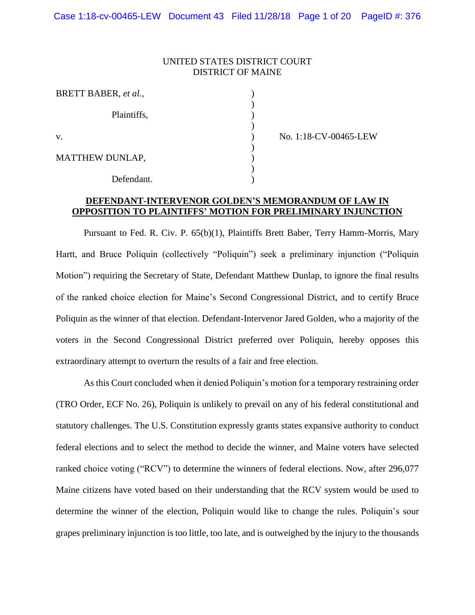### UNITED STATES DISTRICT COURT DISTRICT OF MAINE

| BRETT BABER, et al., |  |
|----------------------|--|
| Plaintiffs,          |  |
| V.                   |  |
| MATTHEW DUNLAP,      |  |
| Defendant.           |  |

v. ) No. 1:18-CV-00465-LEW

# **DEFENDANT-INTERVENOR GOLDEN'S MEMORANDUM OF LAW IN OPPOSITION TO PLAINTIFFS' MOTION FOR PRELIMINARY INJUNCTION**

Pursuant to Fed. R. Civ. P. 65(b)(1), Plaintiffs Brett Baber, Terry Hamm-Morris, Mary Hartt, and Bruce Poliquin (collectively "Poliquin") seek a preliminary injunction ("Poliquin Motion") requiring the Secretary of State, Defendant Matthew Dunlap, to ignore the final results of the ranked choice election for Maine's Second Congressional District, and to certify Bruce Poliquin as the winner of that election. Defendant-Intervenor Jared Golden, who a majority of the voters in the Second Congressional District preferred over Poliquin, hereby opposes this extraordinary attempt to overturn the results of a fair and free election.

As this Court concluded when it denied Poliquin's motion for a temporary restraining order (TRO Order, ECF No. 26), Poliquin is unlikely to prevail on any of his federal constitutional and statutory challenges. The U.S. Constitution expressly grants states expansive authority to conduct federal elections and to select the method to decide the winner, and Maine voters have selected ranked choice voting ("RCV") to determine the winners of federal elections. Now, after 296,077 Maine citizens have voted based on their understanding that the RCV system would be used to determine the winner of the election, Poliquin would like to change the rules. Poliquin's sour grapes preliminary injunction is too little, too late, and is outweighed by the injury to the thousands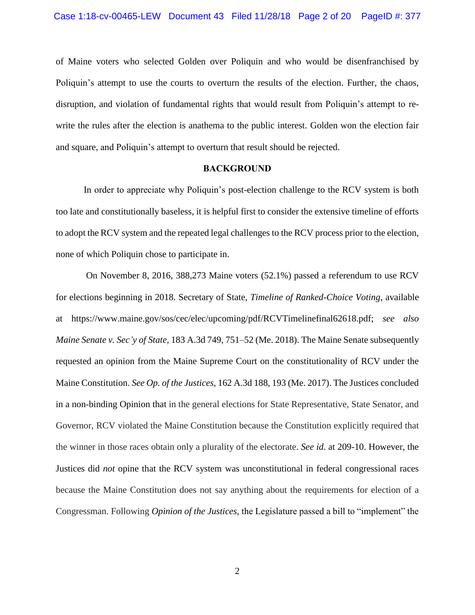of Maine voters who selected Golden over Poliquin and who would be disenfranchised by Poliquin's attempt to use the courts to overturn the results of the election. Further, the chaos, disruption, and violation of fundamental rights that would result from Poliquin's attempt to rewrite the rules after the election is anathema to the public interest. Golden won the election fair and square, and Poliquin's attempt to overturn that result should be rejected.

#### **BACKGROUND**

In order to appreciate why Poliquin's post-election challenge to the RCV system is both too late and constitutionally baseless, it is helpful first to consider the extensive timeline of efforts to adopt the RCV system and the repeated legal challenges to the RCV process prior to the election, none of which Poliquin chose to participate in.

On November 8, 2016, 388,273 Maine voters (52.1%) passed a referendum to use RCV for elections beginning in 2018. Secretary of State, *Timeline of Ranked-Choice Voting*, available at https://www.maine.gov/sos/cec/elec/upcoming/pdf/RCVTimelinefinal62618.pdf; *see also Maine Senate v. Sec'y of State*, 183 A.3d 749, 751–52 (Me. 2018). The Maine Senate subsequently requested an opinion from the Maine Supreme Court on the constitutionality of RCV under the Maine Constitution. *See Op. of the Justices*, 162 A.3d 188, 193 (Me. 2017). The Justices concluded in a non-binding Opinion that in the general elections for State Representative, State Senator, and Governor, RCV violated the Maine Constitution because the Constitution explicitly required that the winner in those races obtain only a plurality of the electorate. *See id*. at 209-10. However, the Justices did *not* opine that the RCV system was unconstitutional in federal congressional races because the Maine Constitution does not say anything about the requirements for election of a Congressman. Following *Opinion of the Justices*, the Legislature passed a bill to "implement" the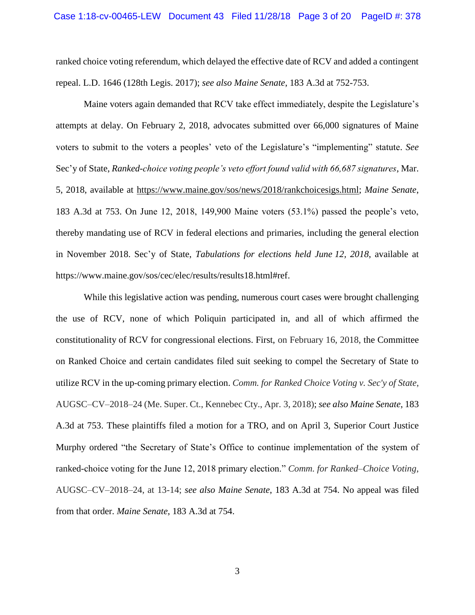ranked choice voting referendum, which delayed the effective date of RCV and added a contingent repeal. L.D. 1646 (128th Legis. 2017); *see also Maine Senate*, 183 A.3d at 752-753.

Maine voters again demanded that RCV take effect immediately, despite the Legislature's attempts at delay. On February 2, 2018, advocates submitted over 66,000 signatures of Maine voters to submit to the voters a peoples' veto of the Legislature's "implementing" statute. *See*  Sec'y of State, *Ranked-choice voting people's veto effort found valid with 66,687 signatures*, Mar. 5, 2018, available at https://www.maine.gov/sos/news/2018/rankchoicesigs.html; *Maine Senate*, 183 A.3d at 753. On June 12, 2018, 149,900 Maine voters (53.1%) passed the people's veto, thereby mandating use of RCV in federal elections and primaries, including the general election in November 2018. Sec'y of State, *Tabulations for elections held June 12, 2018*, available at https://www.maine.gov/sos/cec/elec/results/results18.html#ref.

While this legislative action was pending, numerous court cases were brought challenging the use of RCV, none of which Poliquin participated in, and all of which affirmed the constitutionality of RCV for congressional elections. First, on February 16, 2018, the Committee on Ranked Choice and certain candidates filed suit seeking to compel the Secretary of State to utilize RCV in the up-coming primary election. *Comm. for Ranked Choice Voting v. Sec'y of State*, AUGSC–CV–2018–24 (Me. Super. Ct., Kennebec Cty., Apr. 3, 2018); *see also Maine Senate*, 183 A.3d at 753. These plaintiffs filed a motion for a TRO, and on April 3, Superior Court Justice Murphy ordered "the Secretary of State's Office to continue implementation of the system of ranked-choice voting for the June 12, 2018 primary election." *Comm. for Ranked–Choice Voting*, AUGSC–CV–2018–24, at 13-14; *see also Maine Senate*, 183 A.3d at 754. No appeal was filed from that order. *Maine Senate*, 183 A.3d at 754.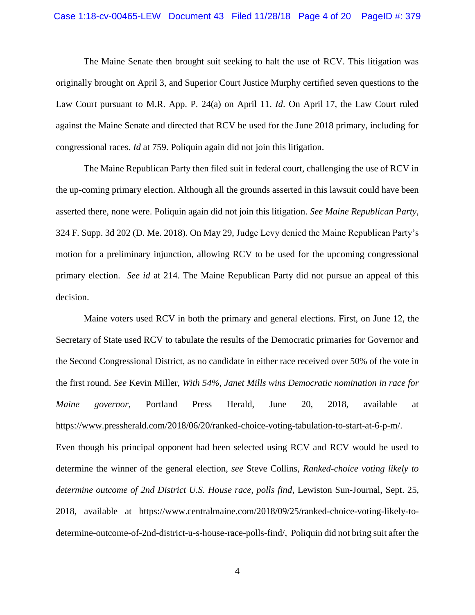#### Case 1:18-cv-00465-LEW Document 43 Filed 11/28/18 Page 4 of 20 PageID #: 379

The Maine Senate then brought suit seeking to halt the use of RCV. This litigation was originally brought on April 3, and Superior Court Justice Murphy certified seven questions to the Law Court pursuant to M.R. App. P. 24(a) on April 11. *Id*. On April 17, the Law Court ruled against the Maine Senate and directed that RCV be used for the June 2018 primary, including for congressional races. *Id* at 759. Poliquin again did not join this litigation.

The Maine Republican Party then filed suit in federal court, challenging the use of RCV in the up-coming primary election. Although all the grounds asserted in this lawsuit could have been asserted there, none were. Poliquin again did not join this litigation. *See Maine Republican Party*, 324 F. Supp. 3d 202 (D. Me. 2018). On May 29, Judge Levy denied the Maine Republican Party's motion for a preliminary injunction, allowing RCV to be used for the upcoming congressional primary election. *See id* at 214. The Maine Republican Party did not pursue an appeal of this decision.

Maine voters used RCV in both the primary and general elections. First, on June 12, the Secretary of State used RCV to tabulate the results of the Democratic primaries for Governor and the Second Congressional District, as no candidate in either race received over 50% of the vote in the first round. *See* Kevin Miller, *With 54%, Janet Mills wins Democratic nomination in race for Maine governor*, Portland Press Herald, June 20, 2018, available at https://www.pressherald.com/2018/06/20/ranked-choice-voting-tabulation-to-start-at-6-p-m/. Even though his principal opponent had been selected using RCV and RCV would be used to determine the winner of the general election, *see* Steve Collins, *Ranked-choice voting likely to determine outcome of 2nd District U.S. House race, polls find*, Lewiston Sun-Journal, Sept. 25, 2018, available at https://www.centralmaine.com/2018/09/25/ranked-choice-voting-likely-todetermine-outcome-of-2nd-district-u-s-house-race-polls-find/, Poliquin did not bring suit after the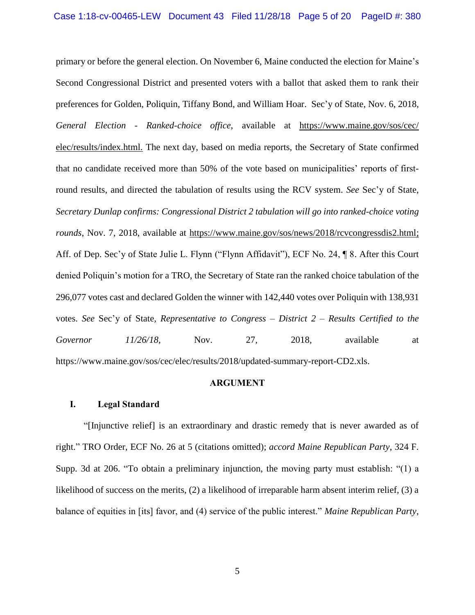primary or before the general election. On November 6, Maine conducted the election for Maine's Second Congressional District and presented voters with a ballot that asked them to rank their preferences for Golden, Poliquin, Tiffany Bond, and William Hoar. Sec'y of State, Nov. 6, 2018, *General Election - Ranked-choice office*, available at https://www.maine.gov/sos/cec/ elec/results/index.html. The next day, based on media reports, the Secretary of State confirmed that no candidate received more than 50% of the vote based on municipalities' reports of firstround results, and directed the tabulation of results using the RCV system. *See* Sec'y of State, *Secretary Dunlap confirms: Congressional District 2 tabulation will go into ranked-choice voting rounds*, Nov. 7, 2018, available at [https://www.maine.gov/sos/news/2018/r](https://www.maine.gov/sos/news/2018/)cvcongressdis2.html; Aff. of Dep. Sec'y of State Julie L. Flynn ("Flynn Affidavit"), ECF No. 24, ¶ 8. After this Court denied Poliquin's motion for a TRO, the Secretary of State ran the ranked choice tabulation of the 296,077 votes cast and declared Golden the winner with 142,440 votes over Poliquin with 138,931 votes. *See* Sec'y of State, *Representative to Congress – District 2 – Results Certified to the Governor 11/26/18*, Nov. 27, 2018, available at https://www.maine.gov/sos/cec/elec/results/2018/updated-summary-report-CD2.xls.

#### **ARGUMENT**

#### **I. Legal Standard**

"[Injunctive relief] is an extraordinary and drastic remedy that is never awarded as of right." TRO Order, ECF No. 26 at 5 (citations omitted); *accord Maine Republican Party*, 324 F. Supp. 3d at 206. "To obtain a preliminary injunction, the moving party must establish: "(1) a likelihood of success on the merits, (2) a likelihood of irreparable harm absent interim relief, (3) a balance of equities in [its] favor, and (4) service of the public interest." *Maine Republican Party*,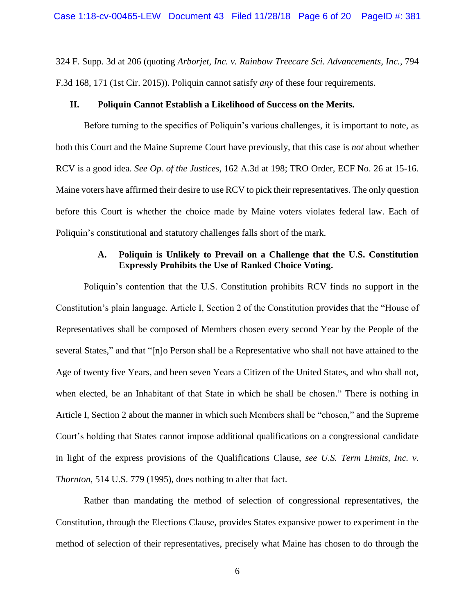324 F. Supp. 3d at 206 (quoting *[Arborjet, Inc. v. Rainbow Treecare Sci. Advancements, Inc.](http://www.westlaw.com/Link/Document/FullText?findType=Y&serNum=2036707625&pubNum=0000506&originatingDoc=I42392d70644311e88808c81b5a222cba&refType=RP&fi=co_pp_sp_506_171&originationContext=document&vr=3.0&rs=cblt1.0&transitionType=DocumentItem&contextData=(sc.Keycite)#co_pp_sp_506_171)*, 794 [F.3d 168, 171 \(1st Cir. 2015\)\)](http://www.westlaw.com/Link/Document/FullText?findType=Y&serNum=2036707625&pubNum=0000506&originatingDoc=I42392d70644311e88808c81b5a222cba&refType=RP&fi=co_pp_sp_506_171&originationContext=document&vr=3.0&rs=cblt1.0&transitionType=DocumentItem&contextData=(sc.Keycite)#co_pp_sp_506_171). Poliquin cannot satisfy *any* of these four requirements.

#### **II. Poliquin Cannot Establish a Likelihood of Success on the Merits.**

Before turning to the specifics of Poliquin's various challenges, it is important to note, as both this Court and the Maine Supreme Court have previously, that this case is *not* about whether RCV is a good idea. *See Op. of the Justices*, 162 A.3d at 198; TRO Order, ECF No. 26 at 15-16. Maine voters have affirmed their desire to use RCV to pick their representatives. The only question before this Court is whether the choice made by Maine voters violates federal law. Each of Poliquin's constitutional and statutory challenges falls short of the mark.

## **A. Poliquin is Unlikely to Prevail on a Challenge that the U.S. Constitution Expressly Prohibits the Use of Ranked Choice Voting.**

Poliquin's contention that the U.S. Constitution prohibits RCV finds no support in the Constitution's plain language. Article I, Section 2 of the Constitution provides that the "House of Representatives shall be composed of Members chosen every second Year by the People of the several States," and that "[n]o Person shall be a Representative who shall not have attained to the Age of twenty five Years, and been seven Years a Citizen of the United States, and who shall not, when elected, be an Inhabitant of that State in which he shall be chosen." There is nothing in Article I, Section 2 about the manner in which such Members shall be "chosen," and the Supreme Court's holding that States cannot impose additional qualifications on a congressional candidate in light of the express provisions of the Qualifications Clause, *see U.S. Term Limits, Inc. v. Thornton*, 514 U.S. 779 (1995), does nothing to alter that fact.

Rather than mandating the method of selection of congressional representatives, the Constitution, through the Elections Clause, provides States expansive power to experiment in the method of selection of their representatives, precisely what Maine has chosen to do through the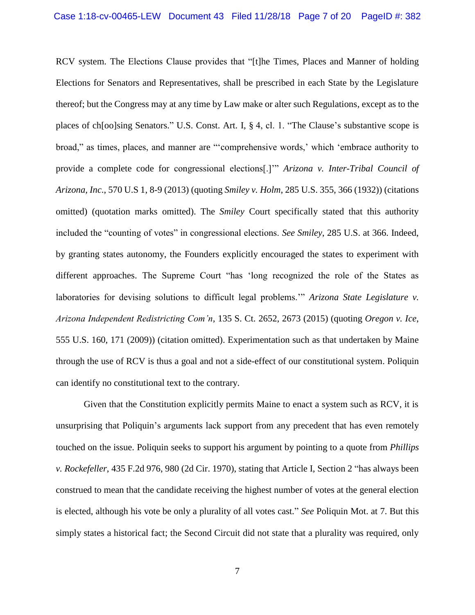RCV system. The Elections Clause provides that "[t]he Times, Places and Manner of holding Elections for Senators and Representatives, shall be prescribed in each State by the Legislature thereof; but the Congress may at any time by Law make or alter such Regulations, except as to the places of ch[oo]sing Senators." U.S. Const. Art. I, § 4, cl. 1. "The Clause's substantive scope is broad," as times, places, and manner are "'comprehensive words,' which 'embrace authority to provide a complete code for congressional elections[.]'" *Arizona v. Inter-Tribal Council of Arizona, Inc*., 570 U.S 1, 8-9 (2013) (quoting *Smiley v. Holm*, [285 U.S. 355, 366 \(1932\)\)](http://www.westlaw.com/Link/Document/FullText?findType=Y&serNum=1932123525&pubNum=0000708&originatingDoc=I04567599d74011e2a555d241dae65084&refType=RP&originationContext=document&vr=3.0&rs=cblt1.0&transitionType=DocumentItem&contextData=(sc.Search)) (citations omitted) (quotation marks omitted). The *Smiley* Court specifically stated that this authority included the "counting of votes" in congressional elections. *See Smiley*, 285 U.S. at 366. Indeed, by granting states autonomy, the Founders explicitly encouraged the states to experiment with different approaches. The Supreme Court "has 'long recognized the role of the States as laboratories for devising solutions to difficult legal problems.'" *Arizona State Legislature v. Arizona Independent Redistricting Com'n,* 135 S. Ct. 2652, 2673 (2015) (quoting *[Oregon v. Ice](http://www.westlaw.com/Link/Document/FullText?findType=Y&serNum=2017879539&pubNum=0000708&originatingDoc=Iebb0a4391e6511e5a795ac035416da91&refType=RP&originationContext=document&vr=3.0&rs=cblt1.0&transitionType=DocumentItem&contextData=(sc.Default))*, [555 U.S. 160, 171 \(2009\)\)](http://www.westlaw.com/Link/Document/FullText?findType=Y&serNum=2017879539&pubNum=0000708&originatingDoc=Iebb0a4391e6511e5a795ac035416da91&refType=RP&originationContext=document&vr=3.0&rs=cblt1.0&transitionType=DocumentItem&contextData=(sc.Default)) (citation omitted). Experimentation such as that undertaken by Maine through the use of RCV is thus a goal and not a side-effect of our constitutional system. Poliquin can identify no constitutional text to the contrary.

Given that the Constitution explicitly permits Maine to enact a system such as RCV, it is unsurprising that Poliquin's arguments lack support from any precedent that has even remotely touched on the issue. Poliquin seeks to support his argument by pointing to a quote from *Phillips v. Rockefeller*, 435 F.2d 976, 980 (2d Cir. 1970), stating that Article I, Section 2 "has always been construed to mean that the candidate receiving the highest number of votes at the general election is elected, although his vote be only a plurality of all votes cast." *See* Poliquin Mot. at 7. But this simply states a historical fact; the Second Circuit did not state that a plurality was required, only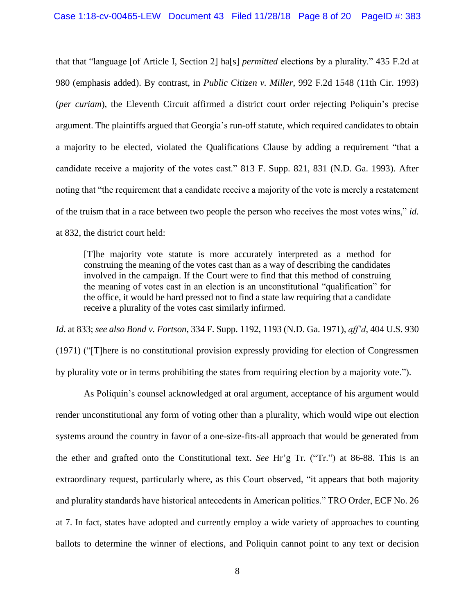that that "language [of Article I, Section 2] ha[s] *permitted* elections by a plurality." 435 F.2d at 980 (emphasis added). By contrast, in *Public Citizen v. Miller*, 992 F.2d 1548 (11th Cir. 1993) (*per curiam*), the Eleventh Circuit affirmed a district court order rejecting Poliquin's precise argument. The plaintiffs argued that Georgia's run-off statute, which required candidates to obtain a majority to be elected, violated the Qualifications Clause by adding a requirement "that a candidate receive a majority of the votes cast." 813 F. Supp. 821, 831 (N.D. Ga. 1993). After noting that "the requirement that a candidate receive a majority of the vote is merely a restatement of the truism that in a race between two people the person who receives the most votes wins," *id*. at 832, the district court held:

[T]he majority vote statute is more accurately interpreted as a method for construing the meaning of the votes cast than as a way of describing the candidates involved in the campaign. If the Court were to find that this method of construing the meaning of votes cast in an election is an unconstitutional "qualification" for the office, it would be hard pressed not to find a state law requiring that a candidate receive a plurality of the votes cast similarly infirmed.

*Id*. at 833; *see also Bond v. Fortson*, 334 F. Supp. 1192, 1193 (N.D. Ga. 1971), *aff'd*, 404 U.S. 930 (1971) ("[T]here is no constitutional provision expressly providing for election of Congressmen by plurality vote or in terms prohibiting the states from requiring election by a majority vote.").

As Poliquin's counsel acknowledged at oral argument, acceptance of his argument would render unconstitutional any form of voting other than a plurality, which would wipe out election systems around the country in favor of a one-size-fits-all approach that would be generated from the ether and grafted onto the Constitutional text. *See* Hr'g Tr. ("Tr.") at 86-88. This is an extraordinary request, particularly where, as this Court observed, "it appears that both majority and plurality standards have historical antecedents in American politics." TRO Order, ECF No. 26 at 7. In fact, states have adopted and currently employ a wide variety of approaches to counting ballots to determine the winner of elections, and Poliquin cannot point to any text or decision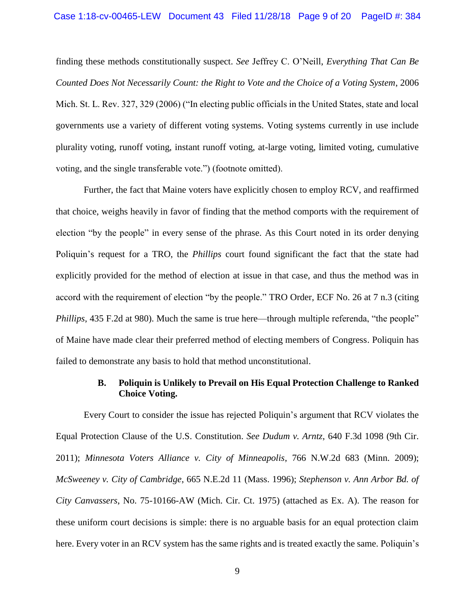finding these methods constitutionally suspect. *See* [Jeffrey C. O'Neill,](http://www.westlaw.com/Link/Document/FullText?findType=h&pubNum=176284&cite=0379750501&originatingDoc=Ibbfadbe09c0911dba2eba69ce80078b6&refType=RQ&originationContext=document&vr=3.0&rs=cblt1.0&transitionType=DocumentItem&contextData=(sc.Search)) *Everything That Can Be Counted Does Not Necessarily Count: the Right to Vote and the Choice of a Voting System*, 2006 Mich. St. L. Rev. 327, 329 (2006) ("In electing public officials in the United States, state and local governments use a variety of different voting systems. Voting systems currently in use include plurality voting, runoff voting, instant runoff voting, at-large voting, limited voting, cumulative voting, and the single transferable vote.") (footnote omitted).

Further, the fact that Maine voters have explicitly chosen to employ RCV, and reaffirmed that choice, weighs heavily in favor of finding that the method comports with the requirement of election "by the people" in every sense of the phrase. As this Court noted in its order denying Poliquin's request for a TRO, the *Phillips* court found significant the fact that the state had explicitly provided for the method of election at issue in that case, and thus the method was in accord with the requirement of election "by the people." TRO Order, ECF No. 26 at 7 n.3 (citing *Phillips*, 435 F.2d at 980). Much the same is true here—through multiple referenda, "the people" of Maine have made clear their preferred method of electing members of Congress. Poliquin has failed to demonstrate any basis to hold that method unconstitutional.

### **B. Poliquin is Unlikely to Prevail on His Equal Protection Challenge to Ranked Choice Voting.**

Every Court to consider the issue has rejected Poliquin's argument that RCV violates the Equal Protection Clause of the U.S. Constitution. *See Dudum v. Arntz*, 640 F.3d 1098 (9th Cir. 2011); *Minnesota Voters Alliance v. City of Minneapolis*, 766 N.W.2d 683 (Minn. 2009); *McSweeney v. City of Cambridge*, 665 N.E.2d 11 (Mass. 1996); *Stephenson v. Ann Arbor Bd. of City Canvassers*, No. 75-10166-AW (Mich. Cir. Ct. 1975) (attached as Ex. A). The reason for these uniform court decisions is simple: there is no arguable basis for an equal protection claim here. Every voter in an RCV system has the same rights and is treated exactly the same. Poliquin's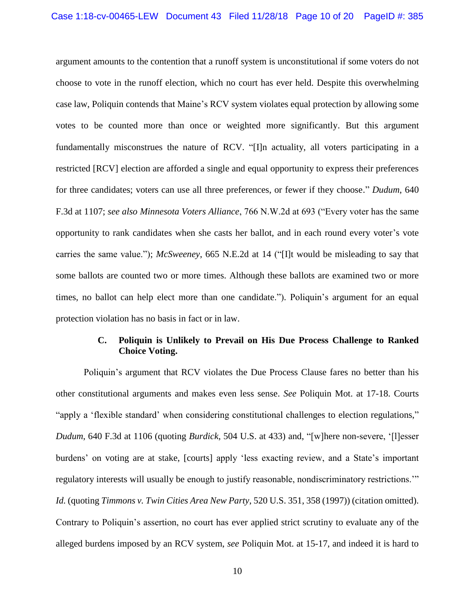argument amounts to the contention that a runoff system is unconstitutional if some voters do not choose to vote in the runoff election, which no court has ever held. Despite this overwhelming case law, Poliquin contends that Maine's RCV system violates equal protection by allowing some votes to be counted more than once or weighted more significantly. But this argument fundamentally misconstrues the nature of RCV. "[I]n actuality, all voters participating in a restricted [RCV] election are afforded a single and equal opportunity to express their preferences for three candidates; voters can use all three preferences, or fewer if they choose." *Dudum*, 640 F.3d at 1107; *see also Minnesota Voters Alliance*, 766 N.W.2d at 693 ("Every voter has the same opportunity to rank candidates when she casts her ballot, and in each round every voter's vote carries the same value."); *McSweeney*, 665 N.E.2d at 14 ("[I]t would be misleading to say that some ballots are counted two or more times. Although these ballots are examined two or more times, no ballot can help elect more than one candidate."). Poliquin's argument for an equal protection violation has no basis in fact or in law.

# **C. Poliquin is Unlikely to Prevail on His Due Process Challenge to Ranked Choice Voting.**

Poliquin's argument that RCV violates the Due Process Clause fares no better than his other constitutional arguments and makes even less sense. *See* Poliquin Mot. at 17-18. Courts "apply a 'flexible standard' when considering constitutional challenges to election regulations," *Dudum*, 640 F.3d at 1106 (quoting *Burdick*, 504 U.S. at 433) and, "[w]here non-severe, '[l]esser burdens' on voting are at stake, [courts] apply 'less exacting review, and a State's important regulatory interests will usually be enough to justify reasonable, nondiscriminatory restrictions.'" *Id.* (quoting *Timmons v. Twin Cities Area New Party*, 520 U.S. 351, 358 (1997)) (citation omitted). Contrary to Poliquin's assertion, no court has ever applied strict scrutiny to evaluate any of the alleged burdens imposed by an RCV system, *see* Poliquin Mot. at 15-17, and indeed it is hard to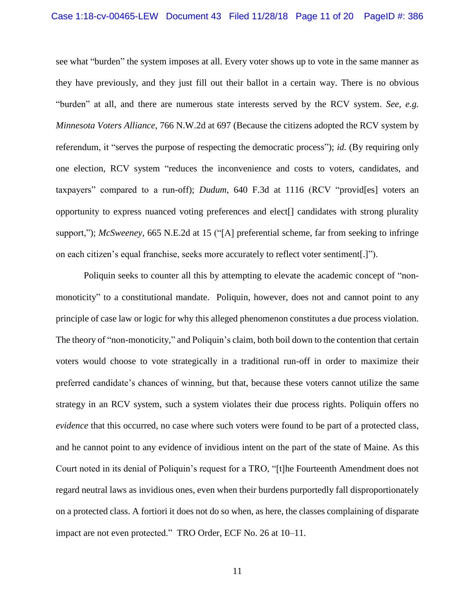see what "burden" the system imposes at all. Every voter shows up to vote in the same manner as they have previously, and they just fill out their ballot in a certain way. There is no obvious "burden" at all, and there are numerous state interests served by the RCV system. *See, e.g. Minnesota Voters Alliance*, 766 N.W.2d at 697 (Because the citizens adopted the RCV system by referendum, it "serves the purpose of respecting the democratic process"); *id.* (By requiring only one election, RCV system "reduces the inconvenience and costs to voters, candidates, and taxpayers" compared to a run-off); *Dudum*, 640 F.3d at 1116 (RCV "provid[es] voters an opportunity to express nuanced voting preferences and elect[] candidates with strong plurality support,"); *McSweeney*, 665 N.E.2d at 15 ("[A] preferential scheme, far from seeking to infringe on each citizen's equal franchise, seeks more accurately to reflect voter sentiment[.]").

Poliquin seeks to counter all this by attempting to elevate the academic concept of "nonmonoticity" to a constitutional mandate. Poliquin, however, does not and cannot point to any principle of case law or logic for why this alleged phenomenon constitutes a due process violation. The theory of "non-monoticity," and Poliquin's claim, both boil down to the contention that certain voters would choose to vote strategically in a traditional run-off in order to maximize their preferred candidate's chances of winning, but that, because these voters cannot utilize the same strategy in an RCV system, such a system violates their due process rights. Poliquin offers no *evidence* that this occurred, no case where such voters were found to be part of a protected class, and he cannot point to any evidence of invidious intent on the part of the state of Maine. As this Court noted in its denial of Poliquin's request for a TRO, "[t]he Fourteenth Amendment does not regard neutral laws as invidious ones, even when their burdens purportedly fall disproportionately on a protected class. A fortiori it does not do so when, as here, the classes complaining of disparate impact are not even protected." TRO Order, ECF No. 26 at 10–11.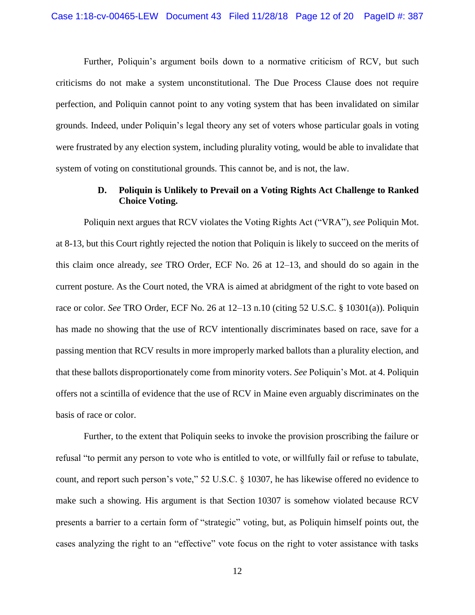Further, Poliquin's argument boils down to a normative criticism of RCV, but such criticisms do not make a system unconstitutional. The Due Process Clause does not require perfection, and Poliquin cannot point to any voting system that has been invalidated on similar grounds. Indeed, under Poliquin's legal theory any set of voters whose particular goals in voting were frustrated by any election system, including plurality voting, would be able to invalidate that system of voting on constitutional grounds. This cannot be, and is not, the law.

### **D. Poliquin is Unlikely to Prevail on a Voting Rights Act Challenge to Ranked Choice Voting.**

Poliquin next argues that RCV violates the Voting Rights Act ("VRA"), *see* Poliquin Mot. at 8-13, but this Court rightly rejected the notion that Poliquin is likely to succeed on the merits of this claim once already, *see* TRO Order, ECF No. 26 at 12–13, and should do so again in the current posture. As the Court noted, the VRA is aimed at abridgment of the right to vote based on race or color. *See* TRO Order, ECF No. 26 at 12–13 n.10 (citing 52 U.S.C. § 10301(a)). Poliquin has made no showing that the use of RCV intentionally discriminates based on race, save for a passing mention that RCV results in more improperly marked ballots than a plurality election, and that these ballots disproportionately come from minority voters. *See* Poliquin's Mot. at 4. Poliquin offers not a scintilla of evidence that the use of RCV in Maine even arguably discriminates on the basis of race or color.

Further, to the extent that Poliquin seeks to invoke the provision proscribing the failure or refusal "to permit any person to vote who is entitled to vote, or willfully fail or refuse to tabulate, count, and report such person's vote," 52 U.S.C. § 10307, he has likewise offered no evidence to make such a showing. His argument is that Section 10307 is somehow violated because RCV presents a barrier to a certain form of "strategic" voting, but, as Poliquin himself points out, the cases analyzing the right to an "effective" vote focus on the right to voter assistance with tasks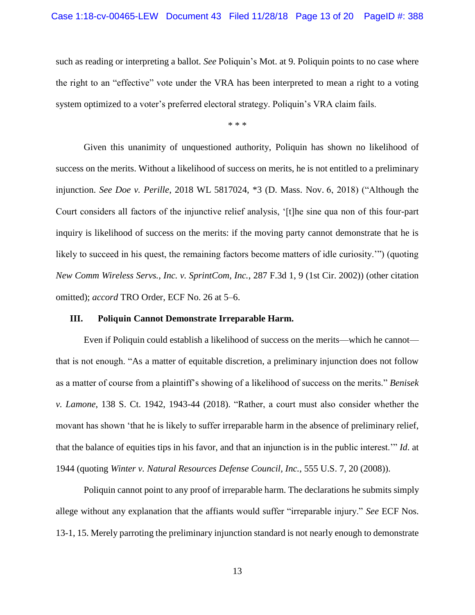such as reading or interpreting a ballot. *See* Poliquin's Mot. at 9. Poliquin points to no case where the right to an "effective" vote under the VRA has been interpreted to mean a right to a voting system optimized to a voter's preferred electoral strategy. Poliquin's VRA claim fails.

\* \* \*

Given this unanimity of unquestioned authority, Poliquin has shown no likelihood of success on the merits. Without a likelihood of success on merits, he is not entitled to a preliminary injunction. *See Doe v. Perille*, 2018 WL 5817024, \*3 (D. Mass. Nov. 6, 2018) ("Although the Court considers all factors of the injunctive relief analysis, '[t]he sine qua non of this four-part inquiry is likelihood of success on the merits: if the moving party cannot demonstrate that he is likely to succeed in his quest, the remaining factors become matters of idle curiosity.") (quoting *[New Comm Wireless Servs., Inc. v. SprintCom, Inc.](http://www.westlaw.com/Link/Document/FullText?findType=Y&serNum=2002225061&pubNum=0000506&originatingDoc=I30e566a0e2f711e8aec5b23c3317c9c0&refType=RP&fi=co_pp_sp_506_9&originationContext=document&vr=3.0&rs=cblt1.0&transitionType=DocumentItem&contextData=(sc.Search)#co_pp_sp_506_9)*, 287 F.3d 1, 9 (1st Cir. 2002)) (other citation omitted); *accord* TRO Order, ECF No. 26 at 5–6.

#### **III. Poliquin Cannot Demonstrate Irreparable Harm.**

Even if Poliquin could establish a likelihood of success on the merits—which he cannot that is not enough. "As a matter of equitable discretion, a preliminary injunction does not follow as a matter of course from a plaintiff's showing of a likelihood of success on the merits." *Benisek v. Lamone*, 138 S. Ct. 1942, 1943-44 (2018). "Rather, a court must also consider whether the movant has shown 'that he is likely to suffer irreparable harm in the absence of preliminary relief, that the balance of equities tips in his favor, and that an injunction is in the public interest.'" *Id*. at 1944 (quoting *[Winter v. Natural Resources Defense Council, Inc.](http://www.westlaw.com/Link/Document/FullText?findType=Y&serNum=2017439125&pubNum=0000708&originatingDoc=Ic98f990272dd11e89d59c04243316042&refType=RP&originationContext=document&vr=3.0&rs=cblt1.0&transitionType=DocumentItem&contextData=(sc.Search))*, 555 U.S. 7, 20 (2008)).

Poliquin cannot point to any proof of irreparable harm. The declarations he submits simply allege without any explanation that the affiants would suffer "irreparable injury." *See* ECF Nos. 13-1, 15. Merely parroting the preliminary injunction standard is not nearly enough to demonstrate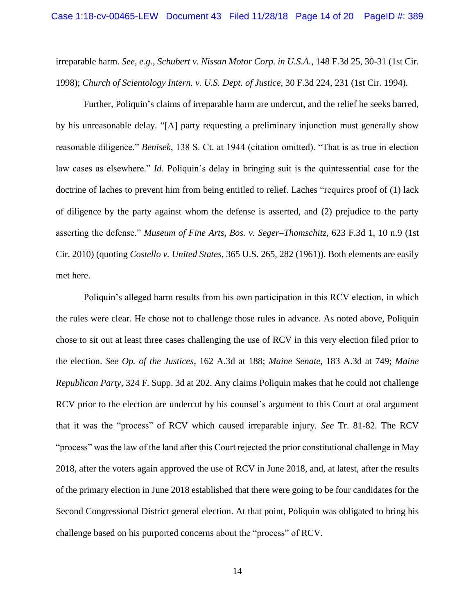irreparable harm. *See, e.g.*, *Schubert v. Nissan Motor Corp. in U.S.A.*, 148 F.3d 25, 30-31 (1st Cir. 1998); *Church of Scientology Intern. v. U.S. Dept. of Justice*, 30 F.3d 224, 231 (1st Cir. 1994).

Further, Poliquin's claims of irreparable harm are undercut, and the relief he seeks barred, by his unreasonable delay. "[A] party requesting a preliminary injunction must generally show reasonable diligence." *Benisek*, 138 S. Ct. at 1944 (citation omitted). "That is as true in election law cases as elsewhere." *Id*. Poliquin's delay in bringing suit is the quintessential case for the doctrine of laches to prevent him from being entitled to relief. Laches "requires proof of (1) lack of diligence by the party against whom the defense is asserted, and (2) prejudice to the party asserting the defense." *Museum of Fine Arts, Bos. v. Seger–Thomschitz*, 623 F.3d 1, 10 n.9 (1st Cir. 2010) (quoting *Costello v. United States*, 365 U.S. 265, 282 (1961)). Both elements are easily met here.

Poliquin's alleged harm results from his own participation in this RCV election, in which the rules were clear. He chose not to challenge those rules in advance. As noted above, Poliquin chose to sit out at least three cases challenging the use of RCV in this very election filed prior to the election. *See Op. of the Justices*, 162 A.3d at 188; *Maine Senate*, 183 A.3d at 749; *Maine Republican Party*, 324 F. Supp. 3d at 202. Any claims Poliquin makes that he could not challenge RCV prior to the election are undercut by his counsel's argument to this Court at oral argument that it was the "process" of RCV which caused irreparable injury. *See* Tr. 81-82. The RCV "process" was the law of the land after this Court rejected the prior constitutional challenge in May 2018, after the voters again approved the use of RCV in June 2018, and, at latest, after the results of the primary election in June 2018 established that there were going to be four candidates for the Second Congressional District general election. At that point, Poliquin was obligated to bring his challenge based on his purported concerns about the "process" of RCV.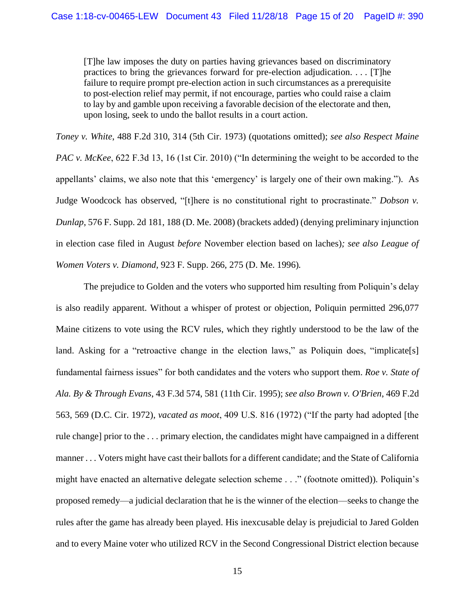[T]he law imposes the duty on parties having grievances based on discriminatory practices to bring the grievances forward for pre-election adjudication. . . . [T]he failure to require prompt pre-election action in such circumstances as a prerequisite to post-election relief may permit, if not encourage, parties who could raise a claim to lay by and gamble upon receiving a favorable decision of the electorate and then, upon losing, seek to undo the ballot results in a court action.

*Toney v. White*, 488 F.2d 310, 314 (5th Cir. 1973) (quotations omitted); *see also Respect Maine PAC v. McKee*, 622 F.3d 13, 16 (1st Cir. 2010) ("In determining the weight to be accorded to the appellants' claims, we also note that this 'emergency' is largely one of their own making."). As Judge Woodcock has observed, "[t]here is no constitutional right to procrastinate." *Dobson v. Dunlap*, 576 F. Supp. 2d 181, 188 (D. Me. 2008) (brackets added) (denying preliminary injunction in election case filed in August *before* November election based on laches)*; see also League of Women Voters v. Diamond*, 923 F. Supp. 266, 275 (D. Me. 1996)*.*

The prejudice to Golden and the voters who supported him resulting from Poliquin's delay is also readily apparent. Without a whisper of protest or objection, Poliquin permitted 296,077 Maine citizens to vote using the RCV rules, which they rightly understood to be the law of the land. Asking for a "retroactive change in the election laws," as Poliquin does, "implicate [s] fundamental fairness issues" for both candidates and the voters who support them. *Roe v. State of Ala. By & Through Evans*, 43 F.3d 574, 581 (11th Cir. 1995); *see also Brown v. O'Brien*, 469 F.2d 563, 569 (D.C. Cir. 1972), *vacated as moot*, 409 U.S. 816 (1972) ("If the party had adopted [the rule change] prior to the . . . primary election, the candidates might have campaigned in a different manner . . . Voters might have cast their ballots for a different candidate; and the State of California might have enacted an alternative delegate selection scheme . . ." (footnote omitted)). Poliquin's proposed remedy—a judicial declaration that he is the winner of the election—seeks to change the rules after the game has already been played. His inexcusable delay is prejudicial to Jared Golden and to every Maine voter who utilized RCV in the Second Congressional District election because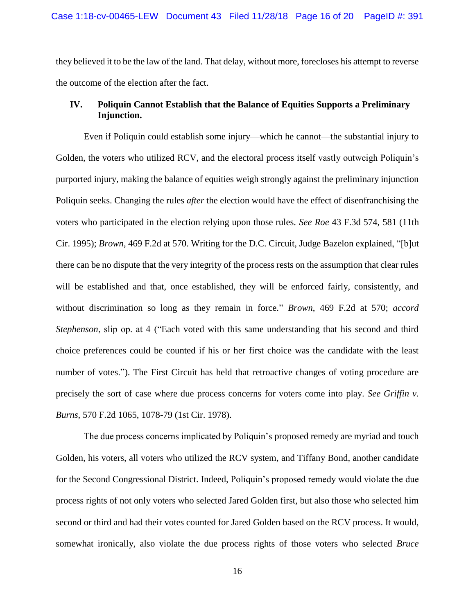they believed it to be the law of the land. That delay, without more, forecloses his attempt to reverse the outcome of the election after the fact.

### **IV. Poliquin Cannot Establish that the Balance of Equities Supports a Preliminary Injunction.**

Even if Poliquin could establish some injury—which he cannot—the substantial injury to Golden, the voters who utilized RCV, and the electoral process itself vastly outweigh Poliquin's purported injury, making the balance of equities weigh strongly against the preliminary injunction Poliquin seeks. Changing the rules *after* the election would have the effect of disenfranchising the voters who participated in the election relying upon those rules*. See Roe* 43 F.3d 574, 581 (11th Cir. 1995); *Brown*, 469 F.2d at 570. Writing for the D.C. Circuit, Judge Bazelon explained, "[b]ut there can be no dispute that the very integrity of the process rests on the assumption that clear rules will be established and that, once established, they will be enforced fairly, consistently, and without discrimination so long as they remain in force." *Brown*, 469 F.2d at 570; *accord Stephenson*, slip op. at 4 ("Each voted with this same understanding that his second and third choice preferences could be counted if his or her first choice was the candidate with the least number of votes."). The First Circuit has held that retroactive changes of voting procedure are precisely the sort of case where due process concerns for voters come into play. *See Griffin v. Burns*, 570 F.2d 1065, 1078-79 (1st Cir. 1978).

The due process concerns implicated by Poliquin's proposed remedy are myriad and touch Golden, his voters, all voters who utilized the RCV system, and Tiffany Bond, another candidate for the Second Congressional District. Indeed, Poliquin's proposed remedy would violate the due process rights of not only voters who selected Jared Golden first, but also those who selected him second or third and had their votes counted for Jared Golden based on the RCV process. It would, somewhat ironically, also violate the due process rights of those voters who selected *Bruce*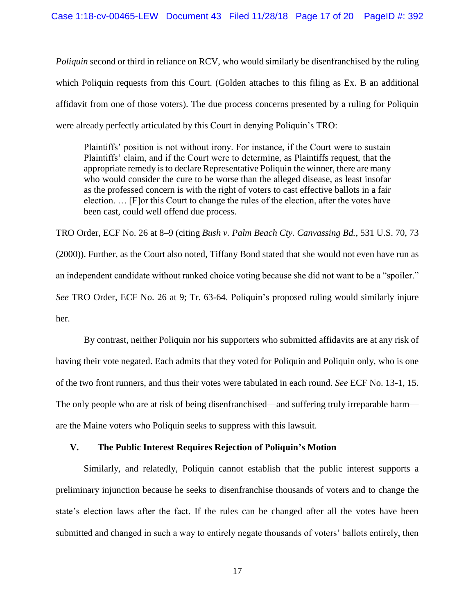*Poliquin* second or third in reliance on RCV, who would similarly be disenfranchised by the ruling which Poliquin requests from this Court. (Golden attaches to this filing as Ex. B an additional affidavit from one of those voters). The due process concerns presented by a ruling for Poliquin were already perfectly articulated by this Court in denying Poliquin's TRO:

Plaintiffs' position is not without irony. For instance, if the Court were to sustain Plaintiffs' claim, and if the Court were to determine, as Plaintiffs request, that the appropriate remedy is to declare Representative Poliquin the winner, there are many who would consider the cure to be worse than the alleged disease, as least insofar as the professed concern is with the right of voters to cast effective ballots in a fair election. … [F]or this Court to change the rules of the election, after the votes have been cast, could well offend due process.

TRO Order, ECF No. 26 at 8–9 (citing *Bush v. Palm Beach Cty. Canvassing Bd.*, 531 U.S. 70, 73 (2000)). Further, as the Court also noted, Tiffany Bond stated that she would not even have run as an independent candidate without ranked choice voting because she did not want to be a "spoiler." *See* TRO Order, ECF No. 26 at 9; Tr. 63-64. Poliquin's proposed ruling would similarly injure her.

By contrast, neither Poliquin nor his supporters who submitted affidavits are at any risk of having their vote negated. Each admits that they voted for Poliquin and Poliquin only, who is one of the two front runners, and thus their votes were tabulated in each round. *See* ECF No. 13-1, 15. The only people who are at risk of being disenfranchised—and suffering truly irreparable harm are the Maine voters who Poliquin seeks to suppress with this lawsuit.

### **V. The Public Interest Requires Rejection of Poliquin's Motion**

Similarly, and relatedly, Poliquin cannot establish that the public interest supports a preliminary injunction because he seeks to disenfranchise thousands of voters and to change the state's election laws after the fact. If the rules can be changed after all the votes have been submitted and changed in such a way to entirely negate thousands of voters' ballots entirely, then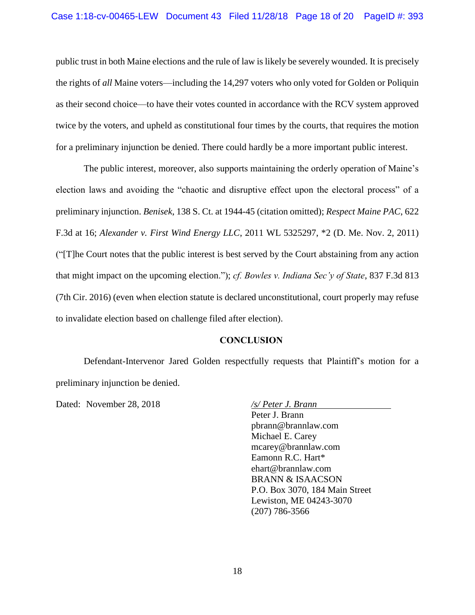public trust in both Maine elections and the rule of law is likely be severely wounded. It is precisely the rights of *all* Maine voters—including the 14,297 voters who only voted for Golden or Poliquin as their second choice—to have their votes counted in accordance with the RCV system approved twice by the voters, and upheld as constitutional four times by the courts, that requires the motion for a preliminary injunction be denied. There could hardly be a more important public interest.

The public interest, moreover, also supports maintaining the orderly operation of Maine's election laws and avoiding the "chaotic and disruptive effect upon the electoral process" of a preliminary injunction. *Benisek*, 138 S. Ct. at 1944-45 (citation omitted); *Respect Maine PAC*, 622 F.3d at 16; *Alexander v. First Wind Energy LLC*, 2011 WL 5325297, \*2 (D. Me. Nov. 2, 2011) ("[T]he Court notes that the public interest is best served by the Court abstaining from any action that might impact on the upcoming election."); *cf. Bowles v. Indiana Sec'y of State*, 837 F.3d 813 (7th Cir. 2016) (even when election statute is declared unconstitutional, court properly may refuse to invalidate election based on challenge filed after election).

### **CONCLUSION**

Defendant-Intervenor Jared Golden respectfully requests that Plaintiff's motion for a preliminary injunction be denied.

Dated: November 28, 2018 */s/ Peter J. Brann* 

Peter J. Brann pbrann@brannlaw.com Michael E. Carey mcarey@brannlaw.com Eamonn R.C. Hart\* ehart@brannlaw.com BRANN & ISAACSON P.O. Box 3070, 184 Main Street Lewiston, ME 04243-3070 (207) 786-3566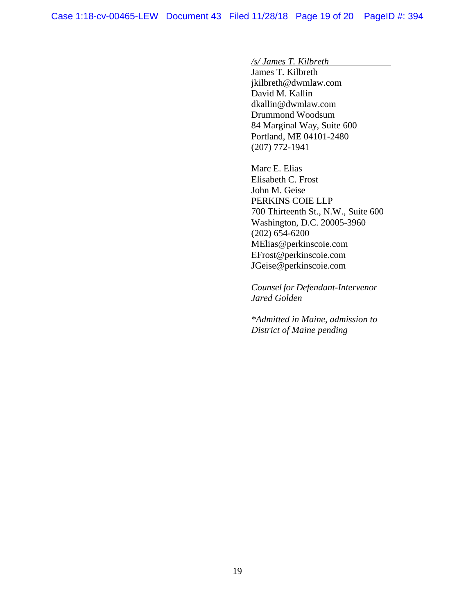*/s/ James T. Kilbreth*

James T. Kilbreth jkilbreth@dwmlaw.com David M. Kallin dkallin@dwmlaw.com Drummond Woodsum 84 Marginal Way, Suite 600 Portland, ME 04101-2480 (207) 772-1941

Marc E. Elias Elisabeth C. Frost John M. Geise PERKINS COIE LLP 700 Thirteenth St., N.W., Suite 600 Washington, D.C. 20005-3960 (202) 654-6200 MElias@perkinscoie.com EFrost@perkinscoie.com JGeise@perkinscoie.com

 *Counsel for Defendant-Intervenor Jared Golden*

 *\*Admitted in Maine, admission to District of Maine pending*